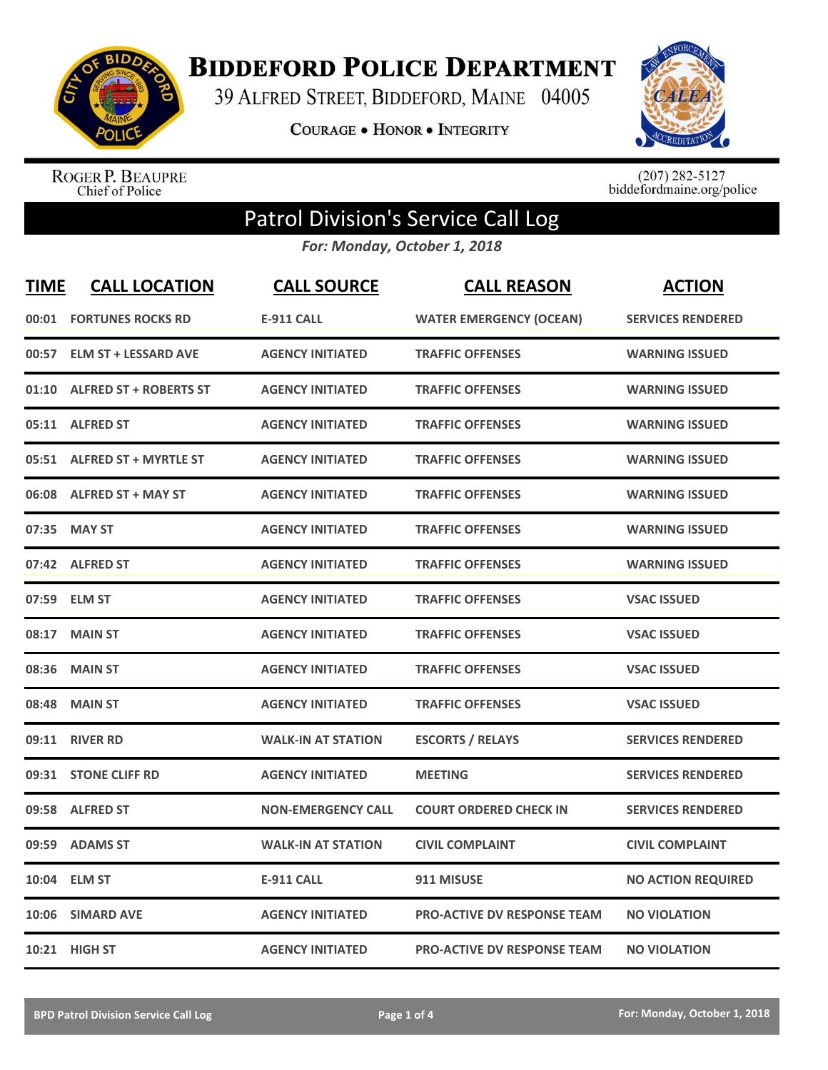

**BIDDEFORD POLICE DEPARTMENT** 

39 ALFRED STREET, BIDDEFORD, MAINE 04005

**COURAGE . HONOR . INTEGRITY** 



ROGER P. BEAUPRE<br>Chief of Police

 $(207)$  282-5127<br>biddefordmaine.org/police

## Patrol Division's Service Call Log

*For: Monday, October 1, 2018*

| <b>TIME</b> | <b>CALL LOCATION</b>           | <b>CALL SOURCE</b>        | <b>CALL REASON</b>                 | <b>ACTION</b>             |
|-------------|--------------------------------|---------------------------|------------------------------------|---------------------------|
|             | <b>00:01 FORTUNES ROCKS RD</b> | <b>E-911 CALL</b>         | <b>WATER EMERGENCY (OCEAN)</b>     | <b>SERVICES RENDERED</b>  |
| 00:57       | <b>ELM ST + LESSARD AVE</b>    | <b>AGENCY INITIATED</b>   | <b>TRAFFIC OFFENSES</b>            | <b>WARNING ISSUED</b>     |
|             | 01:10 ALFRED ST + ROBERTS ST   | <b>AGENCY INITIATED</b>   | <b>TRAFFIC OFFENSES</b>            | <b>WARNING ISSUED</b>     |
|             | 05:11 ALFRED ST                | <b>AGENCY INITIATED</b>   | <b>TRAFFIC OFFENSES</b>            | <b>WARNING ISSUED</b>     |
|             | 05:51 ALFRED ST + MYRTLE ST    | <b>AGENCY INITIATED</b>   | <b>TRAFFIC OFFENSES</b>            | <b>WARNING ISSUED</b>     |
|             | 06:08 ALFRED ST + MAY ST       | <b>AGENCY INITIATED</b>   | <b>TRAFFIC OFFENSES</b>            | <b>WARNING ISSUED</b>     |
| 07:35       | <b>MAY ST</b>                  | <b>AGENCY INITIATED</b>   | <b>TRAFFIC OFFENSES</b>            | <b>WARNING ISSUED</b>     |
|             | 07:42 ALFRED ST                | <b>AGENCY INITIATED</b>   | <b>TRAFFIC OFFENSES</b>            | <b>WARNING ISSUED</b>     |
|             | 07:59 ELM ST                   | <b>AGENCY INITIATED</b>   | <b>TRAFFIC OFFENSES</b>            | <b>VSAC ISSUED</b>        |
| 08:17       | <b>MAIN ST</b>                 | <b>AGENCY INITIATED</b>   | <b>TRAFFIC OFFENSES</b>            | <b>VSAC ISSUED</b>        |
| 08:36       | <b>MAIN ST</b>                 | <b>AGENCY INITIATED</b>   | <b>TRAFFIC OFFENSES</b>            | <b>VSAC ISSUED</b>        |
| 08:48       | <b>MAIN ST</b>                 | <b>AGENCY INITIATED</b>   | <b>TRAFFIC OFFENSES</b>            | <b>VSAC ISSUED</b>        |
| 09:11       | <b>RIVER RD</b>                | <b>WALK-IN AT STATION</b> | <b>ESCORTS / RELAYS</b>            | <b>SERVICES RENDERED</b>  |
| 09:31       | <b>STONE CLIFF RD</b>          | <b>AGENCY INITIATED</b>   | <b>MEETING</b>                     | <b>SERVICES RENDERED</b>  |
| 09:58       | <b>ALFRED ST</b>               | <b>NON-EMERGENCY CALL</b> | <b>COURT ORDERED CHECK IN</b>      | <b>SERVICES RENDERED</b>  |
| 09:59       | <b>ADAMS ST</b>                | <b>WALK-IN AT STATION</b> | <b>CIVIL COMPLAINT</b>             | <b>CIVIL COMPLAINT</b>    |
| 10:04       | <b>ELM ST</b>                  | <b>E-911 CALL</b>         | 911 MISUSE                         | <b>NO ACTION REQUIRED</b> |
| 10:06       | <b>SIMARD AVE</b>              | <b>AGENCY INITIATED</b>   | PRO-ACTIVE DV RESPONSE TEAM        | <b>NO VIOLATION</b>       |
|             | 10:21 HIGH ST                  | <b>AGENCY INITIATED</b>   | <b>PRO-ACTIVE DV RESPONSE TEAM</b> | <b>NO VIOLATION</b>       |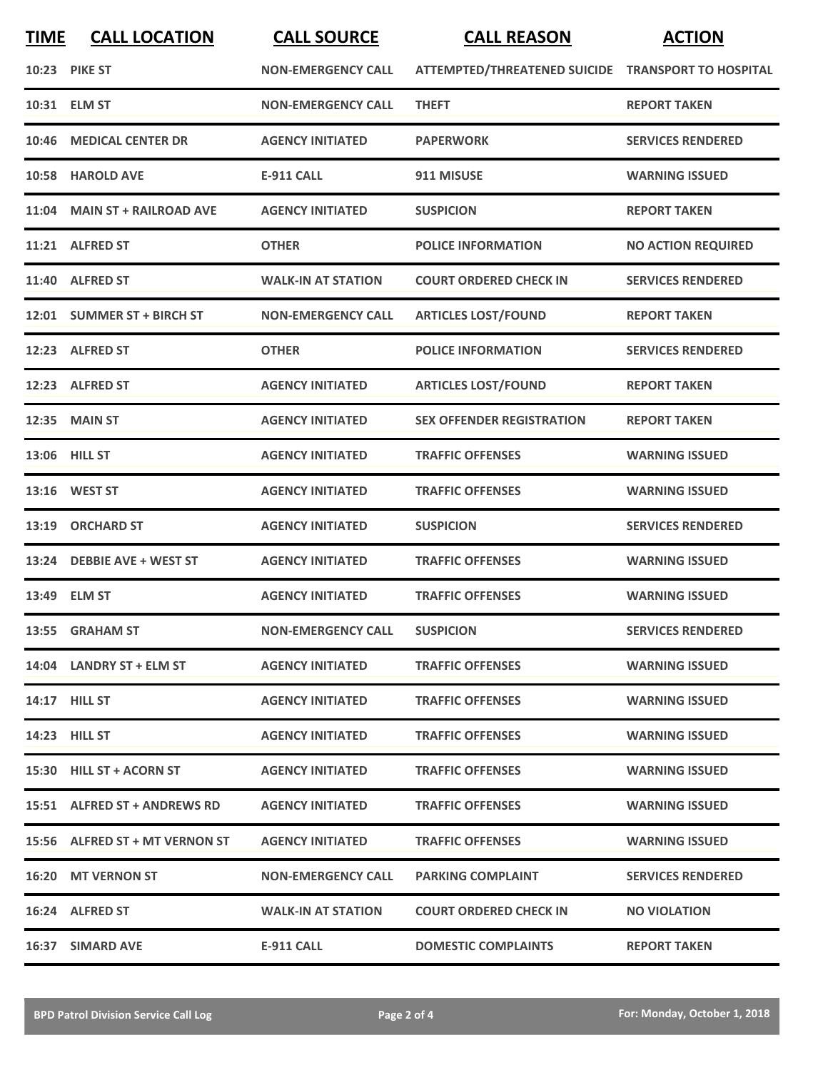| <b>TIME</b> | <b>CALL LOCATION</b>           | <b>CALL SOURCE</b>        | <b>CALL REASON</b>                                 | <b>ACTION</b>             |
|-------------|--------------------------------|---------------------------|----------------------------------------------------|---------------------------|
|             | 10:23 PIKE ST                  | <b>NON-EMERGENCY CALL</b> | ATTEMPTED/THREATENED SUICIDE TRANSPORT TO HOSPITAL |                           |
|             | 10:31 ELM ST                   | <b>NON-EMERGENCY CALL</b> | <b>THEFT</b>                                       | <b>REPORT TAKEN</b>       |
| 10:46       | <b>MEDICAL CENTER DR</b>       | <b>AGENCY INITIATED</b>   | <b>PAPERWORK</b>                                   | <b>SERVICES RENDERED</b>  |
|             | 10:58 HAROLD AVE               | <b>E-911 CALL</b>         | 911 MISUSE                                         | <b>WARNING ISSUED</b>     |
|             | 11:04 MAIN ST + RAILROAD AVE   | <b>AGENCY INITIATED</b>   | <b>SUSPICION</b>                                   | <b>REPORT TAKEN</b>       |
|             | 11:21 ALFRED ST                | <b>OTHER</b>              | <b>POLICE INFORMATION</b>                          | <b>NO ACTION REQUIRED</b> |
|             | 11:40 ALFRED ST                | <b>WALK-IN AT STATION</b> | <b>COURT ORDERED CHECK IN</b>                      | <b>SERVICES RENDERED</b>  |
|             | 12:01 SUMMER ST + BIRCH ST     | <b>NON-EMERGENCY CALL</b> | <b>ARTICLES LOST/FOUND</b>                         | <b>REPORT TAKEN</b>       |
|             | 12:23 ALFRED ST                | <b>OTHER</b>              | <b>POLICE INFORMATION</b>                          | <b>SERVICES RENDERED</b>  |
|             | 12:23 ALFRED ST                | <b>AGENCY INITIATED</b>   | <b>ARTICLES LOST/FOUND</b>                         | <b>REPORT TAKEN</b>       |
|             | 12:35 MAIN ST                  | <b>AGENCY INITIATED</b>   | <b>SEX OFFENDER REGISTRATION</b>                   | <b>REPORT TAKEN</b>       |
|             | 13:06 HILL ST                  | <b>AGENCY INITIATED</b>   | <b>TRAFFIC OFFENSES</b>                            | <b>WARNING ISSUED</b>     |
|             | 13:16 WEST ST                  | <b>AGENCY INITIATED</b>   | <b>TRAFFIC OFFENSES</b>                            | <b>WARNING ISSUED</b>     |
| 13:19       | <b>ORCHARD ST</b>              | <b>AGENCY INITIATED</b>   | <b>SUSPICION</b>                                   | <b>SERVICES RENDERED</b>  |
|             | 13:24 DEBBIE AVE + WEST ST     | <b>AGENCY INITIATED</b>   | <b>TRAFFIC OFFENSES</b>                            | <b>WARNING ISSUED</b>     |
|             | 13:49 ELM ST                   | <b>AGENCY INITIATED</b>   | <b>TRAFFIC OFFENSES</b>                            | <b>WARNING ISSUED</b>     |
|             | 13:55 GRAHAM ST                | <b>NON-EMERGENCY CALL</b> | <b>SUSPICION</b>                                   | <b>SERVICES RENDERED</b>  |
|             | 14:04 LANDRY ST + ELM ST       | <b>AGENCY INITIATED</b>   | <b>TRAFFIC OFFENSES</b>                            | <b>WARNING ISSUED</b>     |
|             | <b>14:17 HILL ST</b>           | <b>AGENCY INITIATED</b>   | <b>TRAFFIC OFFENSES</b>                            | <b>WARNING ISSUED</b>     |
|             | <b>14:23 HILL ST</b>           | <b>AGENCY INITIATED</b>   | <b>TRAFFIC OFFENSES</b>                            | <b>WARNING ISSUED</b>     |
|             | 15:30 HILL ST + ACORN ST       | <b>AGENCY INITIATED</b>   | <b>TRAFFIC OFFENSES</b>                            | <b>WARNING ISSUED</b>     |
|             | 15:51 ALFRED ST + ANDREWS RD   | <b>AGENCY INITIATED</b>   | <b>TRAFFIC OFFENSES</b>                            | <b>WARNING ISSUED</b>     |
|             | 15:56 ALFRED ST + MT VERNON ST | <b>AGENCY INITIATED</b>   | <b>TRAFFIC OFFENSES</b>                            | <b>WARNING ISSUED</b>     |
|             | 16:20 MT VERNON ST             | <b>NON-EMERGENCY CALL</b> | <b>PARKING COMPLAINT</b>                           | <b>SERVICES RENDERED</b>  |
|             | 16:24 ALFRED ST                | <b>WALK-IN AT STATION</b> | <b>COURT ORDERED CHECK IN</b>                      | <b>NO VIOLATION</b>       |
|             | 16:37 SIMARD AVE               | <b>E-911 CALL</b>         | <b>DOMESTIC COMPLAINTS</b>                         | <b>REPORT TAKEN</b>       |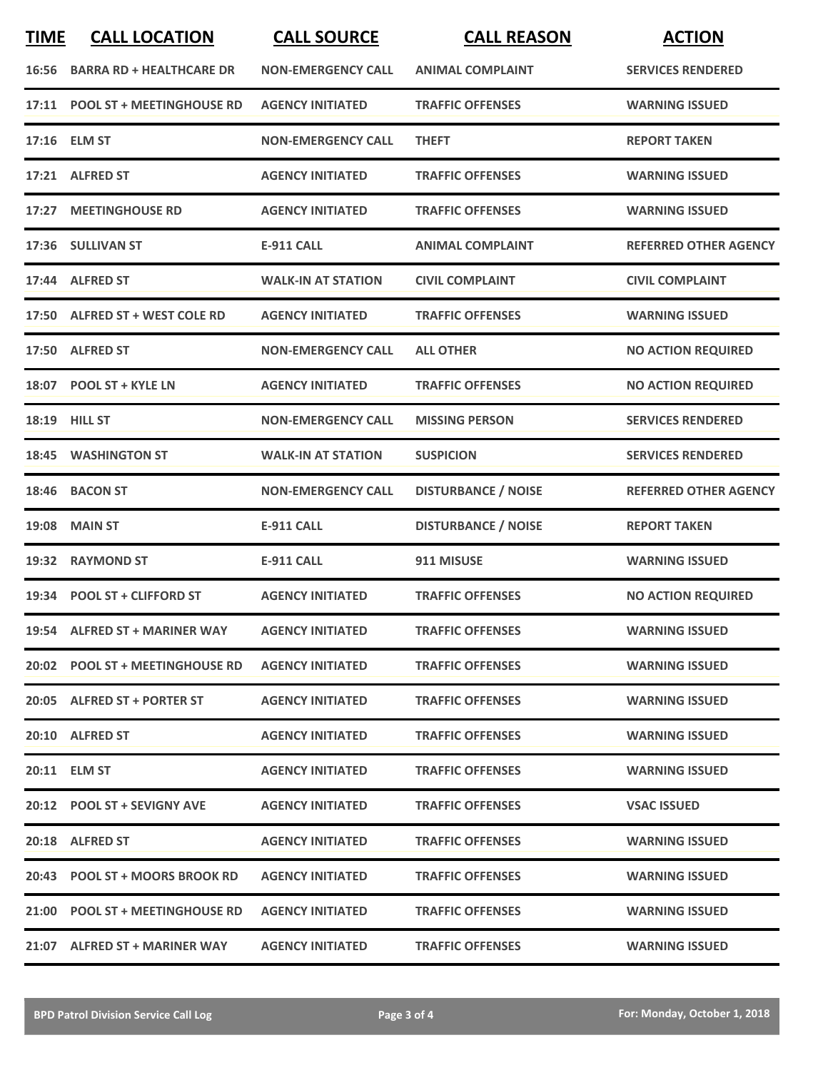| <b>TIME</b> | <b>CALL LOCATION</b>            | <b>CALL SOURCE</b>        | <b>CALL REASON</b>         | <b>ACTION</b>                |
|-------------|---------------------------------|---------------------------|----------------------------|------------------------------|
| 16:56       | <b>BARRA RD + HEALTHCARE DR</b> | <b>NON-EMERGENCY CALL</b> | <b>ANIMAL COMPLAINT</b>    | <b>SERVICES RENDERED</b>     |
|             | 17:11 POOL ST + MEETINGHOUSE RD | <b>AGENCY INITIATED</b>   | <b>TRAFFIC OFFENSES</b>    | <b>WARNING ISSUED</b>        |
|             | 17:16 ELM ST                    | <b>NON-EMERGENCY CALL</b> | <b>THEFT</b>               | <b>REPORT TAKEN</b>          |
|             | 17:21 ALFRED ST                 | <b>AGENCY INITIATED</b>   | <b>TRAFFIC OFFENSES</b>    | <b>WARNING ISSUED</b>        |
|             | 17:27 MEETINGHOUSE RD           | <b>AGENCY INITIATED</b>   | <b>TRAFFIC OFFENSES</b>    | <b>WARNING ISSUED</b>        |
|             | 17:36 SULLIVAN ST               | <b>E-911 CALL</b>         | <b>ANIMAL COMPLAINT</b>    | <b>REFERRED OTHER AGENCY</b> |
|             | 17:44 ALFRED ST                 | <b>WALK-IN AT STATION</b> | <b>CIVIL COMPLAINT</b>     | <b>CIVIL COMPLAINT</b>       |
|             | 17:50 ALFRED ST + WEST COLE RD  | <b>AGENCY INITIATED</b>   | <b>TRAFFIC OFFENSES</b>    | <b>WARNING ISSUED</b>        |
|             | 17:50 ALFRED ST                 | <b>NON-EMERGENCY CALL</b> | <b>ALL OTHER</b>           | <b>NO ACTION REQUIRED</b>    |
|             | 18:07 POOL ST + KYLE LN         | <b>AGENCY INITIATED</b>   | <b>TRAFFIC OFFENSES</b>    | <b>NO ACTION REQUIRED</b>    |
|             | <b>18:19 HILL ST</b>            | <b>NON-EMERGENCY CALL</b> | <b>MISSING PERSON</b>      | <b>SERVICES RENDERED</b>     |
| 18:45       | <b>WASHINGTON ST</b>            | <b>WALK-IN AT STATION</b> | <b>SUSPICION</b>           | <b>SERVICES RENDERED</b>     |
| 18:46       | <b>BACON ST</b>                 | <b>NON-EMERGENCY CALL</b> | <b>DISTURBANCE / NOISE</b> | <b>REFERRED OTHER AGENCY</b> |
| 19:08       | <b>MAIN ST</b>                  | <b>E-911 CALL</b>         | <b>DISTURBANCE / NOISE</b> | <b>REPORT TAKEN</b>          |
| 19:32       | <b>RAYMOND ST</b>               | <b>E-911 CALL</b>         | 911 MISUSE                 | <b>WARNING ISSUED</b>        |
|             | 19:34 POOL ST + CLIFFORD ST     | <b>AGENCY INITIATED</b>   | <b>TRAFFIC OFFENSES</b>    | <b>NO ACTION REQUIRED</b>    |
|             | 19:54 ALFRED ST + MARINER WAY   | <b>AGENCY INITIATED</b>   | <b>TRAFFIC OFFENSES</b>    | <b>WARNING ISSUED</b>        |
|             | 20:02 POOL ST + MEETINGHOUSE RD | <b>AGENCY INITIATED</b>   | <b>TRAFFIC OFFENSES</b>    | <b>WARNING ISSUED</b>        |
|             | 20:05 ALFRED ST + PORTER ST     | <b>AGENCY INITIATED</b>   | <b>TRAFFIC OFFENSES</b>    | <b>WARNING ISSUED</b>        |
|             | 20:10 ALFRED ST                 | <b>AGENCY INITIATED</b>   | <b>TRAFFIC OFFENSES</b>    | <b>WARNING ISSUED</b>        |
|             | 20:11 ELM ST                    | <b>AGENCY INITIATED</b>   | <b>TRAFFIC OFFENSES</b>    | <b>WARNING ISSUED</b>        |
|             | 20:12 POOL ST + SEVIGNY AVE     | <b>AGENCY INITIATED</b>   | <b>TRAFFIC OFFENSES</b>    | <b>VSAC ISSUED</b>           |
|             | 20:18 ALFRED ST                 | <b>AGENCY INITIATED</b>   | <b>TRAFFIC OFFENSES</b>    | <b>WARNING ISSUED</b>        |
|             | 20:43 POOL ST + MOORS BROOK RD  | <b>AGENCY INITIATED</b>   | <b>TRAFFIC OFFENSES</b>    | <b>WARNING ISSUED</b>        |
|             | 21:00 POOL ST + MEETINGHOUSE RD | <b>AGENCY INITIATED</b>   | <b>TRAFFIC OFFENSES</b>    | <b>WARNING ISSUED</b>        |
|             | 21:07 ALFRED ST + MARINER WAY   | <b>AGENCY INITIATED</b>   | <b>TRAFFIC OFFENSES</b>    | <b>WARNING ISSUED</b>        |